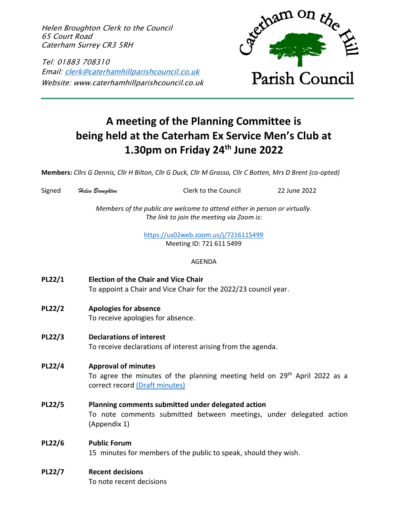Helen Broughton Clerk to the Council 65 Court Road Caterham Surrey CR3 5RH

Tel: 01883 708310 Email: [clerk@caterhamhillparishcouncil.co.uk](mailto:clerk@caterhamhillparishcouncil.co.uk) Website: www.caterhamhillparishcouncil.co.uk



# **A meeting of the Planning Committee is being held at the Caterham Ex Service Men's Club at 1.30pm on Friday 24th June 2022**

**Members:** *Cllrs G Dennis, Cllr H Bilton, Cllr G Duck, Cllr M Grasso, Cllr C Botten, Mrs D Brent (co-opted)*

| Signed        | Helen Broughton                                                                                                                                       | Clerk to the Council                                                                                                      | 22 June 2022 |  |
|---------------|-------------------------------------------------------------------------------------------------------------------------------------------------------|---------------------------------------------------------------------------------------------------------------------------|--------------|--|
|               | Members of the public are welcome to attend either in person or virtually.<br>The link to join the meeting via Zoom is:                               |                                                                                                                           |              |  |
|               | https://us02web.zoom.us/j/7216115499<br>Meeting ID: 721 611 5499                                                                                      |                                                                                                                           |              |  |
|               |                                                                                                                                                       | <b>AGENDA</b>                                                                                                             |              |  |
| PL22/1        | <b>Election of the Chair and Vice Chair</b><br>To appoint a Chair and Vice Chair for the 2022/23 council year.                                        |                                                                                                                           |              |  |
| <b>PL22/2</b> | <b>Apologies for absence</b><br>To receive apologies for absence.                                                                                     |                                                                                                                           |              |  |
| PL22/3        | <b>Declarations of interest</b><br>To receive declarations of interest arising from the agenda.                                                       |                                                                                                                           |              |  |
| PL22/4        | <b>Approval of minutes</b><br>To agree the minutes of the planning meeting held on 29 <sup>th</sup> April 2022 as a<br>correct record (Draft minutes) |                                                                                                                           |              |  |
| <b>PL22/5</b> | (Appendix 1)                                                                                                                                          | Planning comments submitted under delegated action<br>To note comments submitted between meetings, under delegated action |              |  |
| <b>PL22/6</b> | <b>Public Forum</b>                                                                                                                                   | 15 minutes for members of the public to speak, should they wish.                                                          |              |  |
| <b>PL22/7</b> | <b>Recent decisions</b><br>To note recent decisions                                                                                                   |                                                                                                                           |              |  |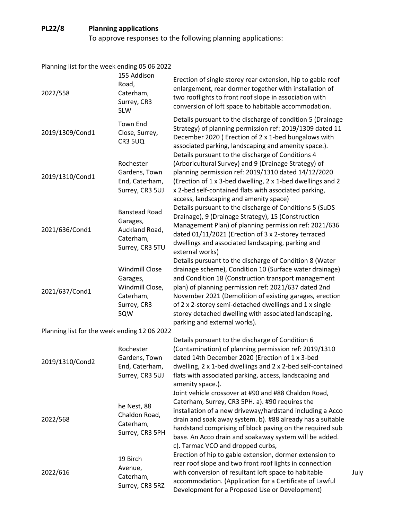## **PL22/8 Planning applications**

To approve responses to the following planning applications:

| Planning list for the week ending 05 06 2022 |                                                                                         |                                                                                                                                                                                                                                                                                                                                                                                                                                                 |
|----------------------------------------------|-----------------------------------------------------------------------------------------|-------------------------------------------------------------------------------------------------------------------------------------------------------------------------------------------------------------------------------------------------------------------------------------------------------------------------------------------------------------------------------------------------------------------------------------------------|
| 2022/558                                     | 155 Addison<br>Road,<br>Caterham,<br>Surrey, CR3<br>5LW                                 | Erection of single storey rear extension, hip to gable roof<br>enlargement, rear dormer together with installation of<br>two rooflights to front roof slope in association with<br>conversion of loft space to habitable accommodation.                                                                                                                                                                                                         |
| 2019/1309/Cond1                              | <b>Town End</b><br>Close, Surrey,<br>CR3 5UQ                                            | Details pursuant to the discharge of condition 5 (Drainage<br>Strategy) of planning permission ref: 2019/1309 dated 11<br>December 2020 (Erection of 2 x 1-bed bungalows with<br>associated parking, landscaping and amenity space.).<br>Details pursuant to the discharge of Conditions 4                                                                                                                                                      |
| 2019/1310/Cond1                              | Rochester<br>Gardens, Town<br>End, Caterham,<br>Surrey, CR3 5UJ                         | (Arboricultural Survey) and 9 (Drainage Strategy) of<br>planning permission ref: 2019/1310 dated 14/12/2020<br>(Erection of 1 x 3-bed dwelling, 2 x 1-bed dwellings and 2<br>x 2-bed self-contained flats with associated parking,<br>access, landscaping and amenity space)                                                                                                                                                                    |
| 2021/636/Cond1                               | <b>Banstead Road</b><br>Garages,<br>Auckland Road,<br>Caterham,<br>Surrey, CR3 5TU      | Details pursuant to the discharge of Conditions 5 (SuDS<br>Drainage), 9 (Drainage Strategy), 15 (Construction<br>Management Plan) of planning permission ref: 2021/636<br>dated 01/11/2021 (Erection of 3 x 2-storey terraced<br>dwellings and associated landscaping, parking and<br>external works)                                                                                                                                           |
| 2021/637/Cond1                               | <b>Windmill Close</b><br>Garages,<br>Windmill Close,<br>Caterham,<br>Surrey, CR3<br>5QW | Details pursuant to the discharge of Condition 8 (Water<br>drainage scheme), Condition 10 (Surface water drainage)<br>and Condition 18 (Construction transport management<br>plan) of planning permission ref: 2021/637 dated 2nd<br>November 2021 (Demolition of existing garages, erection<br>of 2 x 2-storey semi-detached dwellings and 1 x single<br>storey detached dwelling with associated landscaping,<br>parking and external works). |
| Planning list for the week ending 12 06 2022 |                                                                                         |                                                                                                                                                                                                                                                                                                                                                                                                                                                 |
| 2019/1310/Cond2                              | Rochester<br>Gardens, Town<br>End, Caterham,<br>Surrey, CR3 5UJ                         | Details pursuant to the discharge of Condition 6<br>(Contamination) of planning permission ref: 2019/1310<br>dated 14th December 2020 (Erection of 1 x 3-bed<br>dwelling, 2 x 1-bed dwellings and 2 x 2-bed self-contained<br>flats with associated parking, access, landscaping and<br>amenity space.).                                                                                                                                        |
| 2022/568                                     | he Nest, 88<br>Chaldon Road,<br>Caterham,<br>Surrey, CR3 5PH                            | Joint vehicle crossover at #90 and #88 Chaldon Road,<br>Caterham, Surrey, CR3 5PH. a). #90 requires the<br>installation of a new driveway/hardstand including a Acco<br>drain and soak away system. b). #88 already has a suitable<br>hardstand comprising of block paving on the required sub<br>base. An Acco drain and soakaway system will be added.<br>c). Tarmac VCO and dropped curbs,                                                   |
| 2022/616                                     | 19 Birch<br>Avenue,<br>Caterham,<br>Surrey, CR3 5RZ                                     | Erection of hip to gable extension, dormer extension to<br>rear roof slope and two front roof lights in connection<br>with conversion of resultant loft space to habitable<br>accommodation. (Application for a Certificate of Lawful<br>Development for a Proposed Use or Development)                                                                                                                                                         |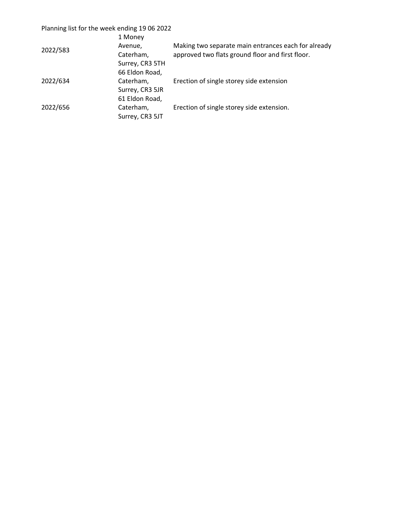### Planning list for the week ending 19 06 2022

| 2022/583 | 1 Money<br>Avenue,                             | Making two separate main entrances each for already |  |
|----------|------------------------------------------------|-----------------------------------------------------|--|
|          | Caterham,<br>Surrey, CR3 5TH<br>66 Eldon Road, | approved two flats ground floor and first floor.    |  |
| 2022/634 | Caterham,<br>Surrey, CR3 5JR<br>61 Eldon Road, | Erection of single storey side extension            |  |
| 2022/656 | Caterham,<br>Surrey, CR3 5JT                   | Erection of single storey side extension.           |  |